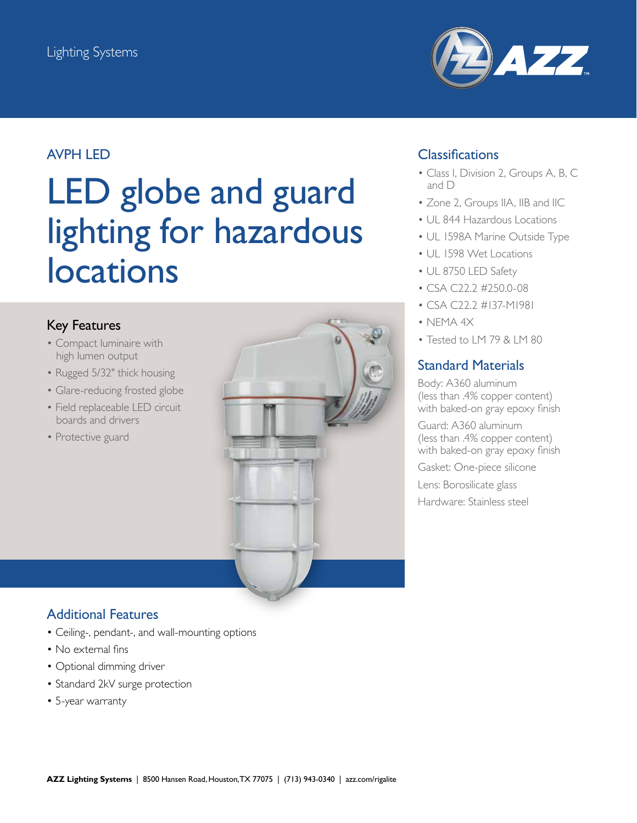

## AVPH LED

# LED globe and guard lighting for hazardous locations

### Key Features

- Compact luminaire with high lumen output
- Rugged 5/32" thick housing
- Glare-reducing frosted globe
- Field replaceable LED circuit boards and drivers
- Protective guard



## **Classifications**

- Class I, Division 2, Groups A, B, C and D
- Zone 2, Groups IIA, IIB and IIC
- UL 844 Hazardous Locations
- UL 1598A Marine Outside Type
- UL 1598 Wet Locations
- UL 8750 LED Safety
- CSA C22.2 #250.0-08
- CSA C22.2 #137-M1981
- NEMA 4X
- Tested to LM 79 & LM 80

### Standard Materials

Body: A360 aluminum (less than .4% copper content) with baked-on gray epoxy finish

Guard: A360 aluminum (less than .4% copper content) with baked-on gray epoxy finish

Gasket: One-piece silicone

Lens: Borosilicate glass

Hardware: Stainless steel

## Additional Features

- Ceiling-, pendant-, and wall-mounting options
- No external fins
- Optional dimming driver
- Standard 2kV surge protection
- 5-year warranty